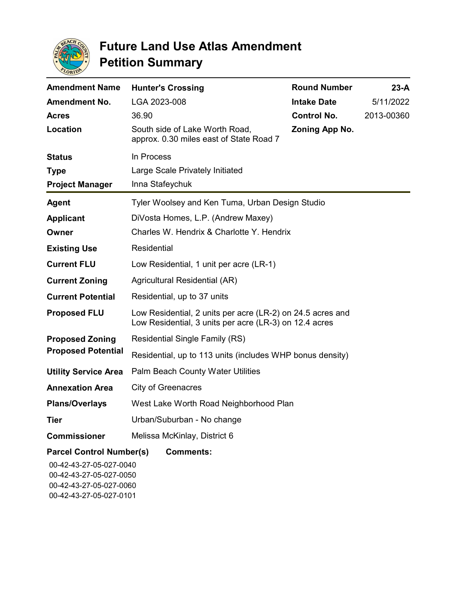

| <b>Amendment Name</b>                                                                                            | <b>Hunter's Crossing</b>                                                                                             | <b>Round Number</b> | $23-A$     |
|------------------------------------------------------------------------------------------------------------------|----------------------------------------------------------------------------------------------------------------------|---------------------|------------|
| <b>Amendment No.</b>                                                                                             | LGA 2023-008                                                                                                         | <b>Intake Date</b>  | 5/11/2022  |
| <b>Acres</b>                                                                                                     | 36.90                                                                                                                | <b>Control No.</b>  | 2013-00360 |
| Location                                                                                                         | South side of Lake Worth Road,<br>approx. 0.30 miles east of State Road 7                                            | Zoning App No.      |            |
| <b>Status</b>                                                                                                    | In Process                                                                                                           |                     |            |
| <b>Type</b>                                                                                                      | Large Scale Privately Initiated                                                                                      |                     |            |
| <b>Project Manager</b>                                                                                           | Inna Stafeychuk                                                                                                      |                     |            |
| <b>Agent</b>                                                                                                     | Tyler Woolsey and Ken Tuma, Urban Design Studio                                                                      |                     |            |
| <b>Applicant</b>                                                                                                 | DiVosta Homes, L.P. (Andrew Maxey)                                                                                   |                     |            |
| Owner                                                                                                            | Charles W. Hendrix & Charlotte Y. Hendrix                                                                            |                     |            |
| <b>Existing Use</b>                                                                                              | Residential                                                                                                          |                     |            |
| <b>Current FLU</b>                                                                                               | Low Residential, 1 unit per acre (LR-1)                                                                              |                     |            |
| <b>Current Zoning</b>                                                                                            | Agricultural Residential (AR)                                                                                        |                     |            |
| <b>Current Potential</b>                                                                                         | Residential, up to 37 units                                                                                          |                     |            |
| <b>Proposed FLU</b>                                                                                              | Low Residential, 2 units per acre (LR-2) on 24.5 acres and<br>Low Residential, 3 units per acre (LR-3) on 12.4 acres |                     |            |
| <b>Proposed Zoning</b><br><b>Proposed Potential</b>                                                              | <b>Residential Single Family (RS)</b>                                                                                |                     |            |
|                                                                                                                  | Residential, up to 113 units (includes WHP bonus density)                                                            |                     |            |
| <b>Utility Service Area</b>                                                                                      | <b>Palm Beach County Water Utilities</b>                                                                             |                     |            |
| <b>Annexation Area</b>                                                                                           | City of Greenacres                                                                                                   |                     |            |
| <b>Plans/Overlays</b>                                                                                            | West Lake Worth Road Neighborhood Plan                                                                               |                     |            |
| <b>Tier</b>                                                                                                      | Urban/Suburban - No change                                                                                           |                     |            |
| <b>Commissioner</b>                                                                                              | Melissa McKinlay, District 6                                                                                         |                     |            |
| <b>Parcel Control Number(s)</b><br>00-42-43-27-05-027-0040<br>00-42-43-27-05-027-0050<br>00-42-43-27-05-027-0060 | <b>Comments:</b>                                                                                                     |                     |            |

00-42-43-27-05-027-0101